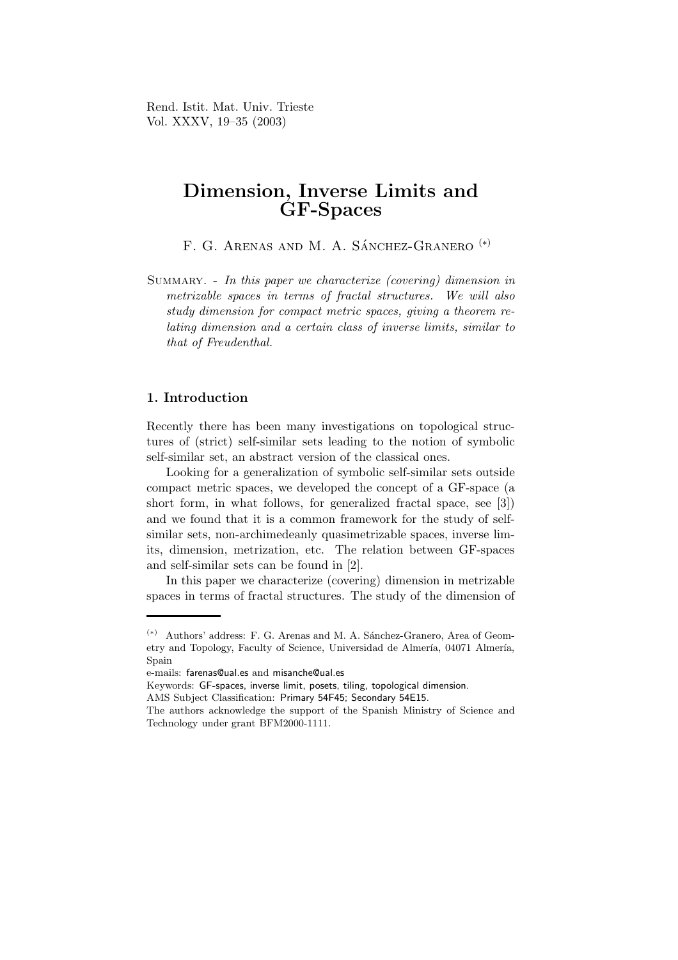Rend. Istit. Mat. Univ. Trieste Vol. XXXV, 19–35 (2003)

# Dimension, Inverse Limits and GF-Spaces

F. G. ARENAS AND M. A. SÁNCHEZ-GRANERO<sup>(\*)</sup>

Summary. - In this paper we characterize (covering) dimension in metrizable spaces in terms of fractal structures. We will also study dimension for compact metric spaces, giving a theorem relating dimension and a certain class of inverse limits, similar to that of Freudenthal.

# 1. Introduction

Recently there has been many investigations on topological structures of (strict) self-similar sets leading to the notion of symbolic self-similar set, an abstract version of the classical ones.

Looking for a generalization of symbolic self-similar sets outside compact metric spaces, we developed the concept of a GF-space (a short form, in what follows, for generalized fractal space, see [3]) and we found that it is a common framework for the study of selfsimilar sets, non-archimedeanly quasimetrizable spaces, inverse limits, dimension, metrization, etc. The relation between GF-spaces and self-similar sets can be found in [2].

In this paper we characterize (covering) dimension in metrizable spaces in terms of fractal structures. The study of the dimension of

 $^{(*)}\;$  Authors' address: F. G. Arenas and M. A. Sánchez-Granero, Area of Geometry and Topology, Faculty of Science, Universidad de Almería, 04071 Almería, Spain

e-mails: farenas@ual.es and misanche@ual.es

Keywords: GF-spaces, inverse limit, posets, tiling, topological dimension.

AMS Subject Classification: Primary 54F45; Secondary 54E15.

The authors acknowledge the support of the Spanish Ministry of Science and Technology under grant BFM2000-1111.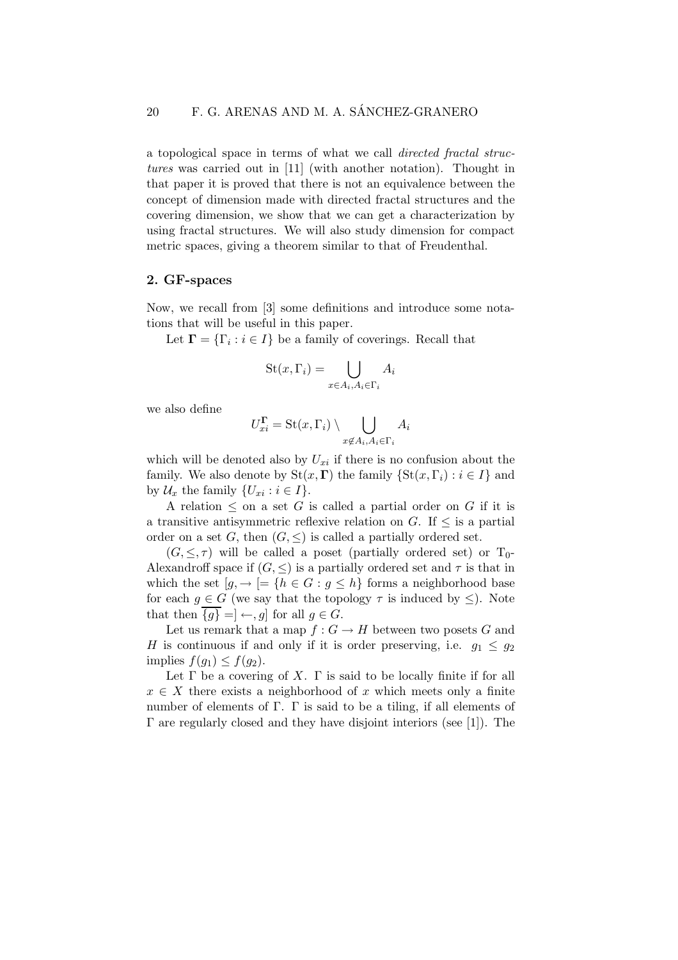a topological space in terms of what we call directed fractal structures was carried out in [11] (with another notation). Thought in that paper it is proved that there is not an equivalence between the concept of dimension made with directed fractal structures and the covering dimension, we show that we can get a characterization by using fractal structures. We will also study dimension for compact metric spaces, giving a theorem similar to that of Freudenthal.

### 2. GF-spaces

Now, we recall from [3] some definitions and introduce some notations that will be useful in this paper.

Let  $\mathbf{\Gamma} = {\{\Gamma_i : i \in I\}}$  be a family of coverings. Recall that

$$
St(x, \Gamma_i) = \bigcup_{x \in A_i, A_i \in \Gamma_i} A_i
$$

we also define

$$
U_{xi}^{\Gamma} = \operatorname{St}(x, \Gamma_i) \setminus \bigcup_{x \notin A_i, A_i \in \Gamma_i} A_i
$$

which will be denoted also by  $U_{xi}$  if there is no confusion about the family. We also denote by  $\text{St}(x, \Gamma)$  the family  $\{\text{St}(x, \Gamma_i) : i \in I\}$  and by  $\mathcal{U}_x$  the family  $\{U_{xi}: i \in I\}.$ 

A relation  $\leq$  on a set G is called a partial order on G if it is a transitive antisymmetric reflexive relation on  $G$ . If  $\leq$  is a partial order on a set G, then  $(G, \leq)$  is called a partially ordered set.

 $(G, \leq, \tau)$  will be called a poset (partially ordered set) or  $T_0$ -Alexandroff space if  $(G, \leq)$  is a partially ordered set and  $\tau$  is that in which the set  $[q, \rightarrow] = \{h \in G : q \leq h\}$  forms a neighborhood base for each  $g \in G$  (we say that the topology  $\tau$  is induced by  $\leq$ ). Note that then  ${g} = ] \leftarrow g$  for all  $g \in G$ .

Let us remark that a map  $f: G \to H$  between two posets G and H is continuous if and only if it is order preserving, i.e.  $q_1 \leq q_2$ implies  $f(g_1) \leq f(g_2)$ .

Let  $\Gamma$  be a covering of X.  $\Gamma$  is said to be locally finite if for all  $x \in X$  there exists a neighborhood of x which meets only a finite number of elements of  $\Gamma$ .  $\Gamma$  is said to be a tiling, if all elements of Γ are regularly closed and they have disjoint interiors (see [1]). The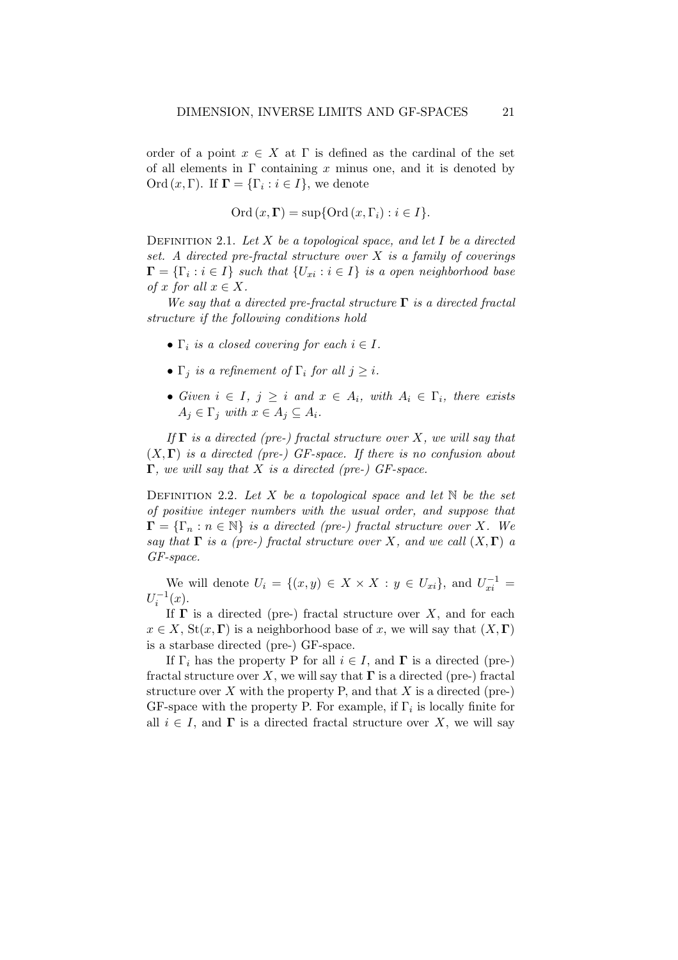order of a point  $x \in X$  at  $\Gamma$  is defined as the cardinal of the set of all elements in  $\Gamma$  containing x minus one, and it is denoted by Ord  $(x, \Gamma)$ . If  $\Gamma = {\{\Gamma_i : i \in I\}}$ , we denote

Ord  $(x, \Gamma)$  = sup{Ord  $(x, \Gamma_i)$  :  $i \in I$ .

DEFINITION 2.1. Let  $X$  be a topological space, and let  $I$  be a directed set. A directed pre-fractal structure over  $X$  is a family of coverings  $\mathbf{\Gamma} = \{\Gamma_i : i \in I\}$  such that  $\{U_{xi} : i \in I\}$  is a open neighborhood base of x for all  $x \in X$ .

We say that a directed pre-fractal structure  $\Gamma$  is a directed fractal structure if the following conditions hold

- $\Gamma_i$  is a closed covering for each  $i \in I$ .
- $\Gamma_j$  is a refinement of  $\Gamma_i$  for all  $j \geq i$ .
- Given  $i \in I$ ,  $j \geq i$  and  $x \in A_i$ , with  $A_i \in \Gamma_i$ , there exists  $A_j \in \Gamma_j$  with  $x \in A_j \subseteq A_i$ .

If  $\Gamma$  is a directed (pre-) fractal structure over X, we will say that  $(X, \Gamma)$  is a directed (pre-) GF-space. If there is no confusion about  $\Gamma$ , we will say that X is a directed (pre-) GF-space.

DEFINITION 2.2. Let X be a topological space and let  $\mathbb N$  be the set of positive integer numbers with the usual order, and suppose that  $\Gamma = {\{\Gamma_n : n \in \mathbb{N}\}\}$  is a directed (pre-) fractal structure over X. We say that  $\Gamma$  is a (pre-) fractal structure over X, and we call  $(X,\Gamma)$  a GF-space.

We will denote  $U_i = \{(x, y) \in X \times X : y \in U_{xi}\}\$ , and  $U_{xi}^{-1} =$  $U_i^{-1}(x)$ .

If  $\Gamma$  is a directed (pre-) fractal structure over X, and for each  $x \in X$ , St $(x, \Gamma)$  is a neighborhood base of x, we will say that  $(X, \Gamma)$ is a starbase directed (pre-) GF-space.

If  $\Gamma_i$  has the property P for all  $i \in I$ , and  $\Gamma$  is a directed (pre-) fractal structure over X, we will say that  $\Gamma$  is a directed (pre-) fractal structure over  $X$  with the property P, and that  $X$  is a directed (pre-) GF-space with the property P. For example, if  $\Gamma_i$  is locally finite for all  $i \in I$ , and  $\Gamma$  is a directed fractal structure over X, we will say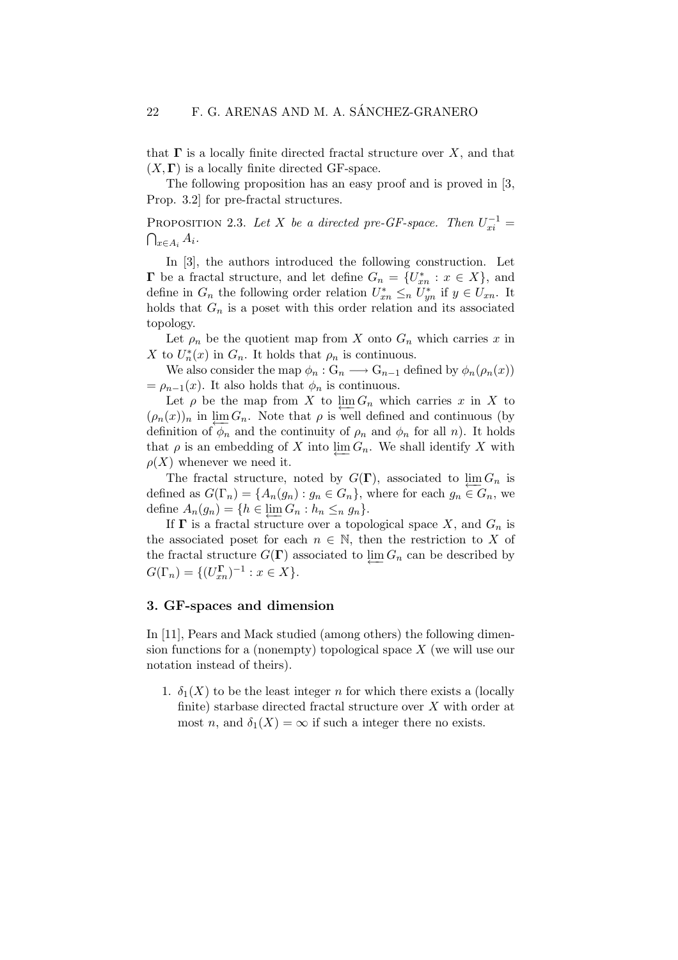that  $\Gamma$  is a locally finite directed fractal structure over X, and that  $(X, \Gamma)$  is a locally finite directed GF-space.

The following proposition has an easy proof and is proved in [3, Prop. 3.2] for pre-fractal structures.

PROPOSITION 2.3. Let X be a directed pre-GF-space. Then  $U_{xi}^{-1} =$  $\bigcap_{x\in A_i}A_i.$ 

In [3], the authors introduced the following construction. Let  $\Gamma$  be a fractal structure, and let define  $G_n = \{U_{xn}^* : x \in X\}$ , and define in  $G_n$  the following order relation  $U_{xn}^* \leq_n U_{yn}^*$  if  $y \in U_{xn}$ . It holds that  $G_n$  is a poset with this order relation and its associated topology.

Let  $\rho_n$  be the quotient map from X onto  $G_n$  which carries x in X to  $U_n^*(x)$  in  $G_n$ . It holds that  $\rho_n$  is continuous.

We also consider the map  $\phi_n: \mathcal{G}_n \longrightarrow \mathcal{G}_{n-1}$  defined by  $\phi_n(\rho_n(x))$  $= \rho_{n-1}(x)$ . It also holds that  $\phi_n$  is continuous.

Let  $\rho$  be the map from X to  $\varprojlim G_n$  which carries x in X to  $(\rho_n(x))_n$  in  $\lim_{x \to -\infty} G_n$ . Note that  $\rho$  is well defined and continuous (by definition of  $\phi_n$  and the continuity of  $\rho_n$  and  $\phi_n$  for all n). It holds that  $\rho$  is an embedding of X into  $\varprojlim G_n$ . We shall identify X with  $\rho(X)$  whenever we need it.

The fractal structure, noted by  $G(\Gamma)$ , associated to  $\varprojlim G_n$  is defined as  $G(\Gamma_n) = \{A_n(g_n) : g_n \in G_n\}$ , where for each  $g_n \in G_n$ , we define  $A_n(g_n) = \{h \in \varprojlim G_n : h_n \leq_n g_n\}.$ 

If  $\Gamma$  is a fractal structure over a topological space X, and  $G_n$  is the associated poset for each  $n \in \mathbb{N}$ , then the restriction to X of the fractal structure  $G(\Gamma)$  associated to  $\varprojlim G_n$  can be described by  $G(\Gamma_n) = \{ (U_{xn}^{\Gamma})^{-1} : x \in X \}.$ 

## 3. GF-spaces and dimension

In [11], Pears and Mack studied (among others) the following dimension functions for a (nonempty) topological space X (we will use our notation instead of theirs).

1.  $\delta_1(X)$  to be the least integer n for which there exists a (locally finite) starbase directed fractal structure over X with order at most n, and  $\delta_1(X) = \infty$  if such a integer there no exists.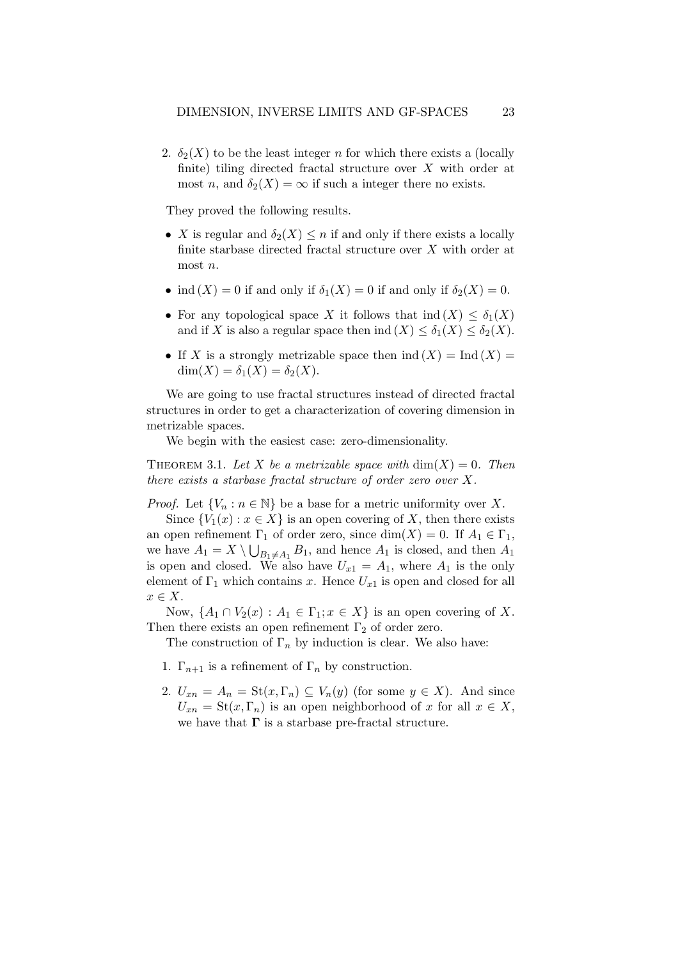2.  $\delta_2(X)$  to be the least integer n for which there exists a (locally finite) tiling directed fractal structure over  $X$  with order at most n, and  $\delta_2(X) = \infty$  if such a integer there no exists.

They proved the following results.

- X is regular and  $\delta_2(X) \leq n$  if and only if there exists a locally finite starbase directed fractal structure over  $X$  with order at most n.
- ind  $(X) = 0$  if and only if  $\delta_1(X) = 0$  if and only if  $\delta_2(X) = 0$ .
- For any topological space X it follows that  $\text{ind}(X) \leq \delta_1(X)$ and if X is also a regular space then ind  $(X) \leq \delta_1(X) \leq \delta_2(X)$ .
- If X is a strongly metrizable space then  $\text{ind}(X) = \text{Ind}(X) =$  $dim(X) = \delta_1(X) = \delta_2(X).$

We are going to use fractal structures instead of directed fractal structures in order to get a characterization of covering dimension in metrizable spaces.

We begin with the easiest case: zero-dimensionality.

THEOREM 3.1. Let X be a metrizable space with  $\dim(X) = 0$ . Then there exists a starbase fractal structure of order zero over X.

*Proof.* Let  $\{V_n : n \in \mathbb{N}\}\$ be a base for a metric uniformity over X.

Since  ${V_1(x) : x \in X}$  is an open covering of X, then there exists an open refinement  $\Gamma_1$  of order zero, since  $\dim(X) = 0$ . If  $A_1 \in \Gamma_1$ , we have  $A_1 = X \setminus \bigcup_{B_1 \neq A_1} B_1$ , and hence  $A_1$  is closed, and then  $A_1$ is open and closed. We also have  $U_{x1} = A_1$ , where  $A_1$  is the only element of  $\Gamma_1$  which contains x. Hence  $U_{x1}$  is open and closed for all  $x \in X$ .

Now,  $\{A_1 \cap V_2(x) : A_1 \in \Gamma_1; x \in X\}$  is an open covering of X. Then there exists an open refinement  $\Gamma_2$  of order zero.

The construction of  $\Gamma_n$  by induction is clear. We also have:

- 1.  $\Gamma_{n+1}$  is a refinement of  $\Gamma_n$  by construction.
- 2.  $U_{xn} = A_n = \text{St}(x, \Gamma_n) \subseteq V_n(y)$  (for some  $y \in X$ ). And since  $U_{xn} = \text{St}(x, \Gamma_n)$  is an open neighborhood of x for all  $x \in X$ , we have that  $\Gamma$  is a starbase pre-fractal structure.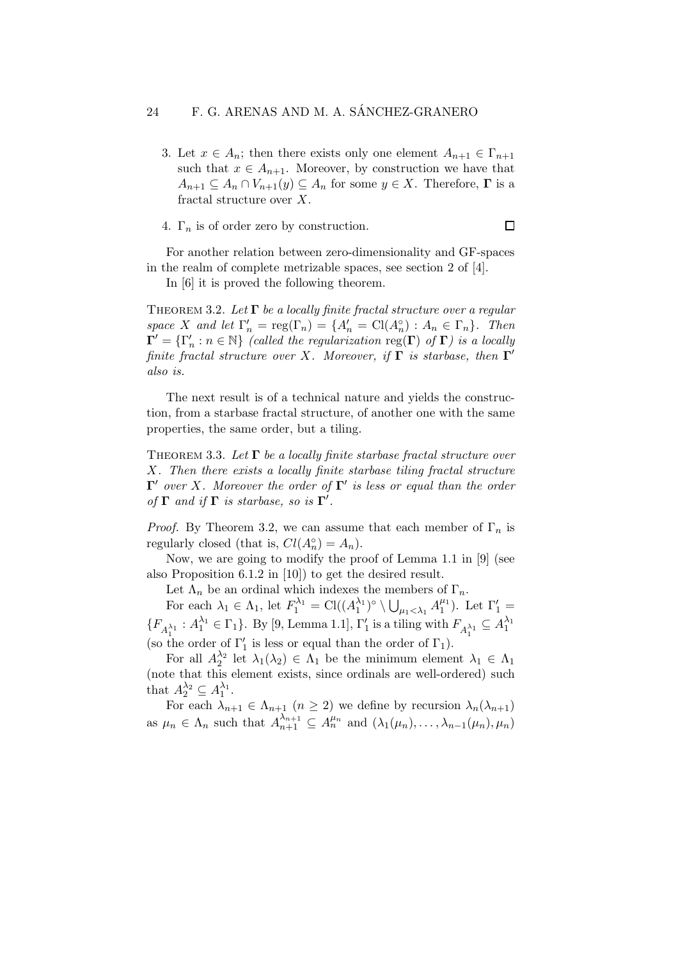3. Let  $x \in A_n$ ; then there exists only one element  $A_{n+1} \in \Gamma_{n+1}$ such that  $x \in A_{n+1}$ . Moreover, by construction we have that  $A_{n+1} \subseteq A_n \cap V_{n+1}(y) \subseteq A_n$  for some  $y \in X$ . Therefore,  $\Gamma$  is a fractal structure over X.

|  |  |  |  |  |  | 4. $\Gamma_n$ is of order zero by construction. |  |  |
|--|--|--|--|--|--|-------------------------------------------------|--|--|
|--|--|--|--|--|--|-------------------------------------------------|--|--|

For another relation between zero-dimensionality and GF-spaces in the realm of complete metrizable spaces, see section 2 of [4].

In [6] it is proved the following theorem.

THEOREM 3.2. Let  $\Gamma$  be a locally finite fractal structure over a regular space X and let  $\Gamma'_n = \text{reg}(\Gamma_n) = \{A'_n = \text{Cl}(A_n^{\circ}) : A_n \in \Gamma_n\}$ . Then  $\Gamma' = \{\Gamma'_n : n \in \mathbb{N}\}\$  (called the regularization reg( $\Gamma$ ) of  $\Gamma$ ) is a locally finite fractal structure over X. Moreover, if  $\Gamma$  is starbase, then  $\Gamma'$ also is.

The next result is of a technical nature and yields the construction, from a starbase fractal structure, of another one with the same properties, the same order, but a tiling.

THEOREM 3.3. Let  $\Gamma$  be a locally finite starbase fractal structure over X. Then there exists a locally finite starbase tiling fractal structure  $\Gamma'$  over X. Moreover the order of  $\Gamma'$  is less or equal than the order of  $\Gamma$  and if  $\Gamma$  is starbase, so is  $\Gamma'$ .

*Proof.* By Theorem 3.2, we can assume that each member of  $\Gamma_n$  is regularly closed (that is,  $Cl(A_n^{\circ}) = A_n$ ).

Now, we are going to modify the proof of Lemma 1.1 in [9] (see also Proposition 6.1.2 in [10]) to get the desired result.

Let  $\Lambda_n$  be an ordinal which indexes the members of  $\Gamma_n$ .

For each  $\lambda_1 \in \Lambda_1$ , let  $F_1^{\lambda_1} = \text{Cl}((A_1^{\lambda_1})^{\circ} \setminus \bigcup_{\mu_1 < \lambda_1} A_1^{\mu_1})$ . Let  $\Gamma'_1 =$  ${F_{A_1^{\lambda_1}}: A_1^{\lambda_1} \in \Gamma_1}$ . By [9, Lemma 1.1],  $\Gamma'_1$  is a tiling with  $F_{A_1^{\lambda_1}} \subseteq A_1^{\lambda_1}$ (so the order of  $\Gamma'_1$  is less or equal than the order of  $\Gamma_1$ ).

For all  $A_2^{\lambda_2}$  let  $\lambda_1(\lambda_2) \in \Lambda_1$  be the minimum element  $\lambda_1 \in \Lambda_1$ (note that this element exists, since ordinals are well-ordered) such that  $A_2^{\lambda_2} \subseteq A_1^{\lambda_1}$ .

For each  $\lambda_{n+1} \in \Lambda_{n+1}$   $(n \geq 2)$  we define by recursion  $\lambda_n(\lambda_{n+1})$ as  $\mu_n \in \Lambda_n$  such that  $A_{n+1}^{\lambda_{n+1}} \subseteq A_n^{\mu_n}$  and  $(\lambda_1(\mu_n), \ldots, \lambda_{n-1}(\mu_n), \mu_n)$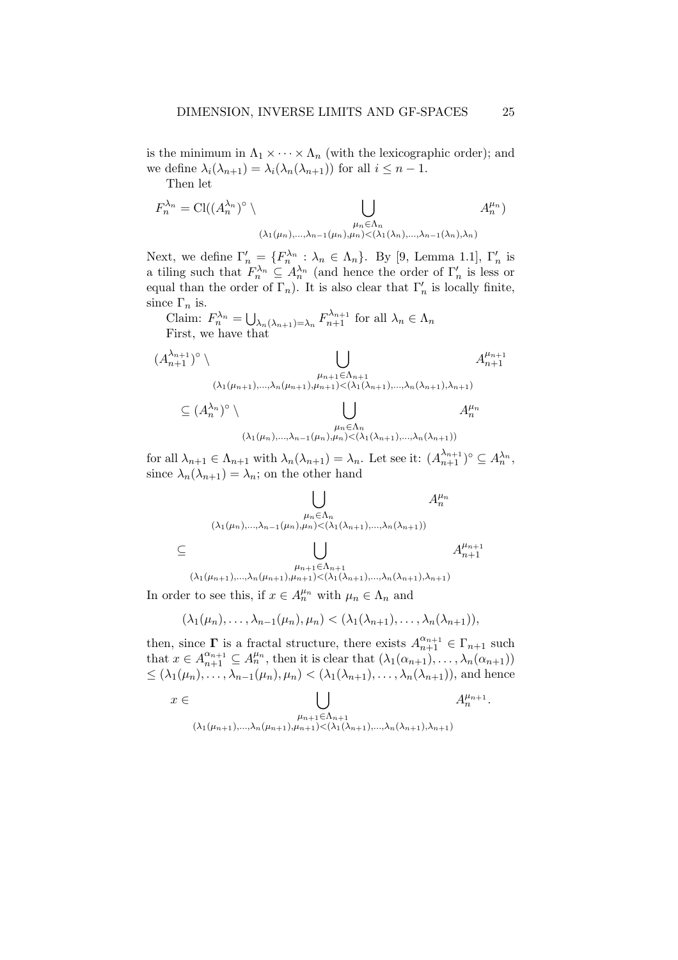is the minimum in  $\Lambda_1 \times \cdots \times \Lambda_n$  (with the lexicographic order); and we define  $\lambda_i(\lambda_{n+1}) = \lambda_i(\lambda_n(\lambda_{n+1}))$  for all  $i \leq n-1$ .

Then let

$$
F_n^{\lambda_n} = \text{Cl}((A_n^{\lambda_n})^{\circ} \setminus \bigcup_{\substack{\mu_n \in \Lambda_n \\ (\lambda_1(\mu_n), \dots, \lambda_{n-1}(\mu_n), \mu_n) < (\lambda_1(\lambda_n), \dots, \lambda_{n-1}(\lambda_n), \lambda_n)}} A_n^{\mu_n})
$$

Next, we define  $\Gamma'_n = \{F_n^{\lambda_n} : \lambda_n \in \Lambda_n\}$ . By [9, Lemma 1.1],  $\Gamma'_n$  is a tiling such that  $F_n^{\lambda_n} \subseteq A_n^{\lambda_n}$  (and hence the order of  $\Gamma'_n$  is less or equal than the order of  $\Gamma_n$ ). It is also clear that  $\Gamma'_n$  is locally finite, since  $\Gamma_n$  is.

Claim:  $F_n^{\lambda_n} = \bigcup_{\lambda_n(\lambda_{n+1})=\lambda_n} F_{n+1}^{\lambda_{n+1}}$  for all  $\lambda_n \in \Lambda_n$ First, we have that

$$
(A_{n+1}^{\lambda_{n+1}})^{\circ} \setminus \bigcup_{\substack{\mu_{n+1} \in \Lambda_{n+1} \\ (\lambda_1(\mu_{n+1}), \dots, \lambda_n(\mu_{n+1}), \mu_{n+1}) < (\lambda_1(\lambda_{n+1}), \dots, \lambda_n(\lambda_{n+1}), \lambda_{n+1})}} A_{n+1}^{\mu_{n+1}} \\
\subseteq (A_n^{\lambda_n})^{\circ} \setminus \bigcup_{\substack{\mu_n \in \Lambda_n \\ \mu_n \in \Lambda_n \\ (\lambda_1(\mu_n), \dots, \lambda_{n-1}(\mu_n), \mu_n) < (\lambda_1(\lambda_{n+1}), \dots, \lambda_n(\lambda_{n+1}))}} A_n^{\mu_n}
$$

for all  $\lambda_{n+1} \in \Lambda_{n+1}$  with  $\lambda_n(\lambda_{n+1}) = \lambda_n$ . Let see it:  $(A_{n+1}^{\lambda_{n+1}})^\circ \subseteq A_n^{\lambda_n}$ , since  $\lambda_n(\lambda_{n+1}) = \lambda_n$ ; on the other hand

$$
\bigcup_{\mu_n \in \Lambda_n} A_n^{\mu_n}
$$
  
\n
$$
\bigcup_{\mu_n \in \Lambda_n} A_n^{\mu_n}
$$
  
\n
$$
\bigcup_{\mu_{n+1} \in \Lambda_{n+1}} A_n^{\mu_{n+1}}
$$
  
\n
$$
\bigcup_{\mu_{n+1} \in \Lambda_{n+1}} A_{n+1}^{\mu_{n+1}}
$$
  
\n
$$
\bigcup_{\mu_{n+1} \in \Lambda_{n+1}} A_{n+1}^{\mu_{n+1}}
$$

In order to see this, if  $x \in A_n^{\mu_n}$  with  $\mu_n \in \Lambda_n$  and

$$
(\lambda_1(\mu_n),\ldots,\lambda_{n-1}(\mu_n),\mu_n) < (\lambda_1(\lambda_{n+1}),\ldots,\lambda_n(\lambda_{n+1})),
$$

then, since  $\Gamma$  is a fractal structure, there exists  $A_{n+1}^{\alpha_{n+1}} \in \Gamma_{n+1}$  such that  $x \in A_{n+1}^{\alpha_{n+1}} \subseteq A_n^{\mu_n}$ , then it is clear that  $(\lambda_1(\alpha_{n+1}), \ldots, \lambda_n(\alpha_{n+1}))$  $\leq (\lambda_1(\mu_n), \ldots, \lambda_{n-1}(\mu_n), \mu_n) < (\lambda_1(\lambda_{n+1}), \ldots, \lambda_n(\lambda_{n+1}))$ , and hence

$$
x \in \bigcup_{\substack{\mu_{n+1} \in \Lambda_{n+1} \\ (\lambda_1(\mu_{n+1}), \dots, \lambda_n(\mu_{n+1}), \mu_{n+1}) < (\lambda_1(\lambda_{n+1}), \dots, \lambda_n(\lambda_{n+1}), \lambda_{n+1})}} A_n^{\mu_{n+1}}.
$$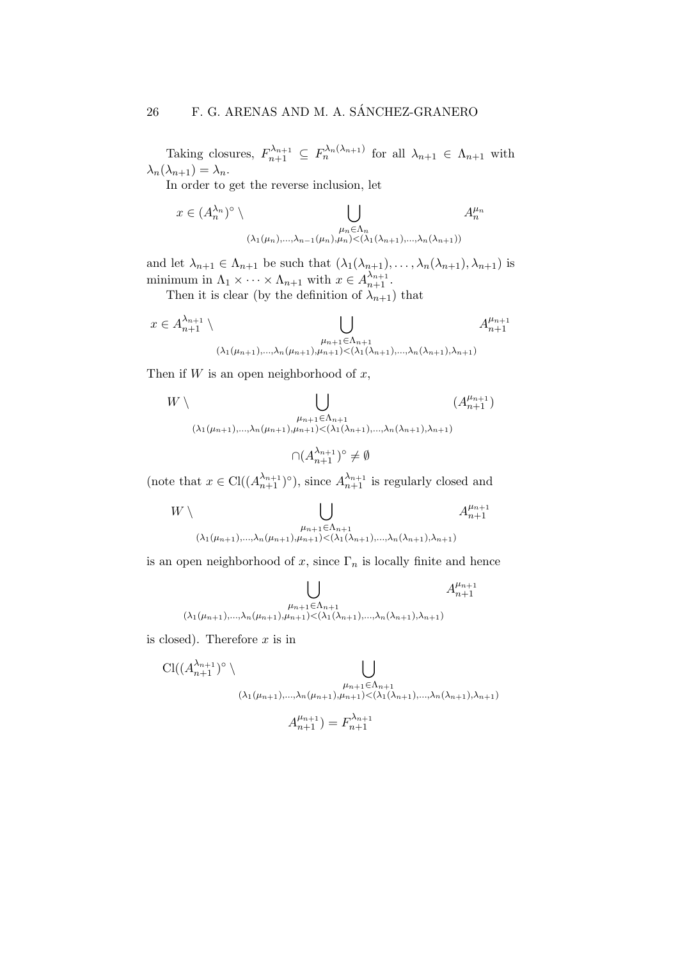Taking closures,  $F_{n+1}^{\lambda_{n+1}} \subseteq F_n^{\lambda_n(\lambda_{n+1})}$  for all  $\lambda_{n+1} \in \Lambda_{n+1}$  with  $\lambda_n(\lambda_{n+1}) = \lambda_n.$ 

In order to get the reverse inclusion, let

$$
x \in (A_n^{\lambda_n})^{\circ} \setminus \bigcup_{\substack{\mu_n \in \Lambda_n \\ (\lambda_1(\mu_n), \ldots, \lambda_{n-1}(\mu_n), \mu_n) < (\lambda_1(\lambda_{n+1}), \ldots, \lambda_n(\lambda_{n+1}))}} A_n^{\mu_n}
$$

and let  $\lambda_{n+1} \in \Lambda_{n+1}$  be such that  $(\lambda_1(\lambda_{n+1}), \ldots, \lambda_n(\lambda_{n+1}), \lambda_{n+1})$  is minimum in  $\Lambda_1 \times \cdots \times \Lambda_{n+1}$  with  $x \in A_{n+1}^{\lambda_{n+1}}$ .

Then it is clear (by the definition of  $\lambda_{n+1}$ ) that

$$
x \in A_{n+1}^{\lambda_{n+1}} \setminus \bigcup_{\substack{\mu_{n+1} \in \Lambda_{n+1} \\ (\lambda_1(\mu_{n+1}), \dots, \lambda_n(\mu_{n+1}), \mu_{n+1}) < (\lambda_1(\lambda_{n+1}), \dots, \lambda_n(\lambda_{n+1}), \lambda_{n+1})}} A_{n+1}^{\mu_{n+1}}
$$

Then if  $W$  is an open neighborhood of  $x$ ,

$$
W \setminus \bigcup_{\substack{\mu_{n+1} \in \Lambda_{n+1} \\ (\lambda_1(\mu_{n+1}), \dots, \lambda_n(\mu_{n+1}), \mu_{n+1}) < (\lambda_1(\lambda_{n+1}), \dots, \lambda_n(\lambda_{n+1}), \lambda_{n+1})}} (A_{n+1}^{\mu_{n+1}})
$$

$$
\cap (A_{n+1}^{\lambda_{n+1}})^{\circ} \neq \emptyset
$$

(note that  $x \in \text{Cl}((A_{n+1}^{\lambda_{n+1}})^\circ)$ , since  $A_{n+1}^{\lambda_{n+1}}$  is regularly closed and

$$
W \setminus \bigcup_{\substack{\mu_{n+1} \in \Lambda_{n+1} \\ (\lambda_1(\mu_{n+1}), \dots, \lambda_n(\mu_{n+1}), \mu_{n+1}) < (\lambda_1(\lambda_{n+1}), \dots, \lambda_n(\lambda_{n+1}), \lambda_{n+1})}} A_{n+1}^{\mu_{n+1}}
$$

is an open neighborhood of x, since  $\Gamma_n$  is locally finite and hence

$$
\bigcup_{\substack{\mu_{n+1} \in \Lambda_{n+1} \\ (\lambda_1(\mu_{n+1}), \dots, \lambda_n(\mu_{n+1}), \mu_{n+1}) < (\lambda_1(\lambda_{n+1}), \dots, \lambda_n(\lambda_{n+1}), \lambda_{n+1})}} A_{n+1}^{\mu_{n+1}}
$$

is closed). Therefore  $x$  is in

$$
\text{Cl}((A_{n+1}^{\lambda_{n+1}})^{\circ} \setminus \bigcup_{\substack{\mu_{n+1} \in \Lambda_{n+1} \\ (\lambda_1(\mu_{n+1}), \dots, \lambda_n(\mu_{n+1}), \mu_{n+1}) < (\lambda_1(\lambda_{n+1}), \dots, \lambda_n(\lambda_{n+1}), \lambda_{n+1})}}}
$$

$$
A_{n+1}^{\mu_{n+1}}) = F_{n+1}^{\lambda_{n+1}}
$$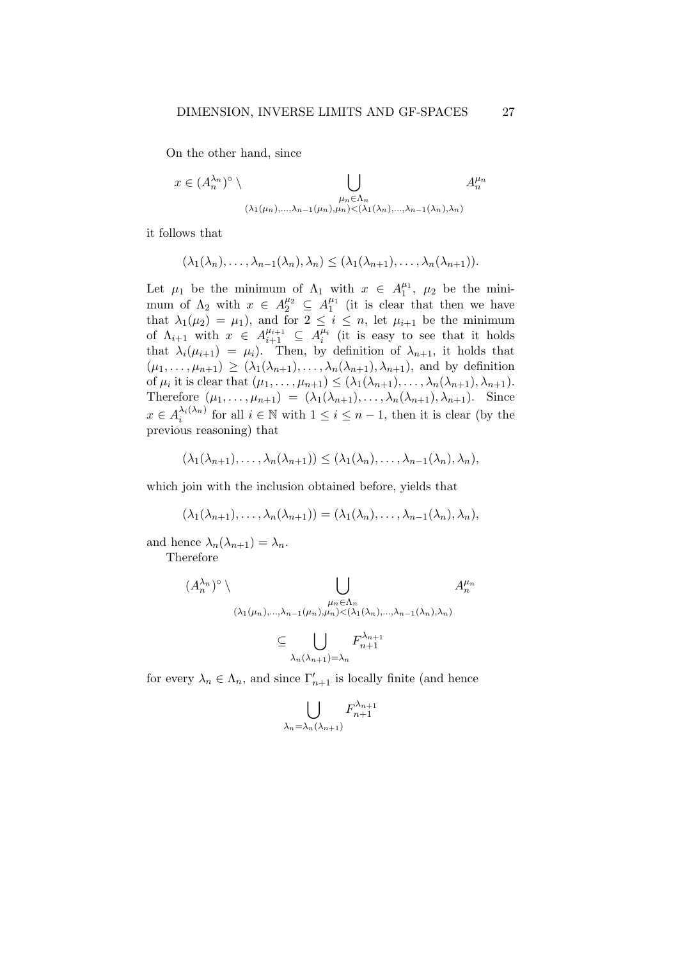On the other hand, since

$$
x \in (A_n^{\lambda_n})^{\circ} \setminus \bigcup_{\substack{\mu_n \in \Lambda_n \\ (\lambda_1(\mu_n), \dots, \lambda_{n-1}(\mu_n), \mu_n) < (\lambda_1(\lambda_n), \dots, \lambda_{n-1}(\lambda_n), \lambda_n)}} A_n^{\mu_n}
$$

it follows that

$$
(\lambda_1(\lambda_n),\ldots,\lambda_{n-1}(\lambda_n),\lambda_n) \leq (\lambda_1(\lambda_{n+1}),\ldots,\lambda_n(\lambda_{n+1})).
$$

Let  $\mu_1$  be the minimum of  $\Lambda_1$  with  $x \in A_1^{\mu_1}, \mu_2$  be the minimum of  $\Lambda_2$  with  $x \in A_2^{\mu_2} \subseteq A_1^{\mu_1}$  (it is clear that then we have that  $\lambda_1(\mu_2) = \mu_1$ , and for  $2 \leq i \leq n$ , let  $\mu_{i+1}$  be the minimum of  $\Lambda_{i+1}$  with  $x \in A_{i+1}^{\mu_{i+1}} \subseteq A_i^{\mu_i}$  (it is easy to see that it holds that  $\lambda_i(\mu_{i+1}) = \mu_i$ . Then, by definition of  $\lambda_{n+1}$ , it holds that  $(\mu_1, \ldots, \mu_{n+1}) \geq (\lambda_1(\lambda_{n+1}), \ldots, \lambda_n(\lambda_{n+1}), \lambda_{n+1})$ , and by definition of  $\mu_i$  it is clear that  $(\mu_1, \ldots, \mu_{n+1}) \leq (\lambda_1(\lambda_{n+1}), \ldots, \lambda_n(\lambda_{n+1}), \lambda_{n+1}).$ Therefore  $(\mu_1, \ldots, \mu_{n+1}) = (\lambda_1(\lambda_{n+1}), \ldots, \lambda_n(\lambda_{n+1}), \lambda_{n+1})$ . Since  $x \in A_i^{\lambda_i(\lambda_n)}$  $\lambda_i(\lambda_n)$  for all  $i \in \mathbb{N}$  with  $1 \leq i \leq n-1$ , then it is clear (by the previous reasoning) that

$$
(\lambda_1(\lambda_{n+1}),\ldots,\lambda_n(\lambda_{n+1}))\leq (\lambda_1(\lambda_n),\ldots,\lambda_{n-1}(\lambda_n),\lambda_n),
$$

which join with the inclusion obtained before, yields that

$$
(\lambda_1(\lambda_{n+1}),\ldots,\lambda_n(\lambda_{n+1}))=(\lambda_1(\lambda_n),\ldots,\lambda_{n-1}(\lambda_n),\lambda_n),
$$

and hence  $\lambda_n(\lambda_{n+1}) = \lambda_n$ .

Therefore

$$
(\mathcal{A}_{n}^{\lambda_{n}})^{\circ} \setminus \bigcup_{\substack{\mu_{n} \in \Lambda_{n} \\ (\lambda_{1}(\mu_{n}),...,\lambda_{n-1}(\mu_{n}),\mu_{n}) < (\lambda_{1}(\lambda_{n}),...,\lambda_{n-1}(\lambda_{n}),\lambda_{n}) \\ \subseteq \bigcup_{\lambda_{n}(\lambda_{n+1}) = \lambda_{n}} F_{n+1}^{\lambda_{n+1}}
$$

for every  $\lambda_n \in \Lambda_n$ , and since  $\Gamma'_{n+1}$  is locally finite (and hence

$$
\bigcup_{\lambda_n=\lambda_n(\lambda_{n+1})} F_{n+1}^{\lambda_{n+1}}
$$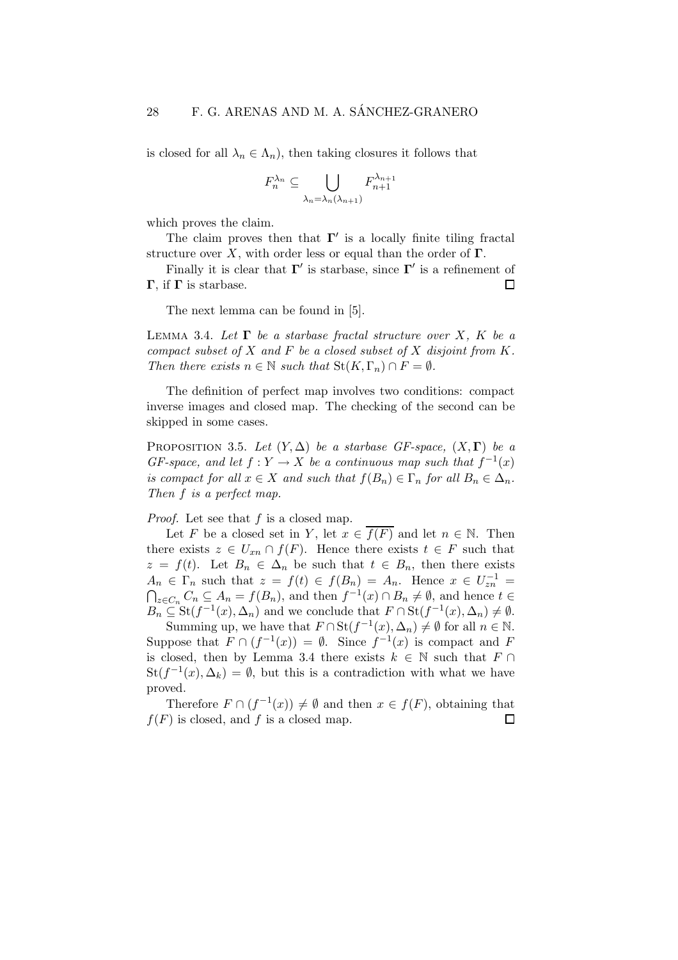is closed for all  $\lambda_n \in \Lambda_n$ , then taking closures it follows that

$$
F_n^{\lambda_n} \subseteq \bigcup_{\lambda_n = \lambda_n(\lambda_{n+1})} F_{n+1}^{\lambda_{n+1}}
$$

which proves the claim.

The claim proves then that  $\Gamma'$  is a locally finite tiling fractal structure over X, with order less or equal than the order of  $\Gamma$ .

Finally it is clear that  $\Gamma'$  is starbase, since  $\Gamma'$  is a refinement of Γ, if  $\Gamma$  is starbase.  $\Box$ 

The next lemma can be found in [5].

LEMMA 3.4. Let  $\Gamma$  be a starbase fractal structure over X, K be a compact subset of  $X$  and  $F$  be a closed subset of  $X$  disjoint from  $K$ . Then there exists  $n \in \mathbb{N}$  such that  $\text{St}(K, \Gamma_n) \cap F = \emptyset$ .

The definition of perfect map involves two conditions: compact inverse images and closed map. The checking of the second can be skipped in some cases.

PROPOSITION 3.5. Let  $(Y, \Delta)$  be a starbase GF-space,  $(X, \Gamma)$  be a GF-space, and let  $f: Y \to X$  be a continuous map such that  $f^{-1}(x)$ is compact for all  $x \in X$  and such that  $f(B_n) \in \Gamma_n$  for all  $B_n \in \Delta_n$ . Then f is a perfect map.

Proof. Let see that f is a closed map.

Let F be a closed set in Y, let  $x \in \overline{f(F)}$  and let  $n \in \mathbb{N}$ . Then there exists  $z \in U_{xn} \cap f(F)$ . Hence there exists  $t \in F$  such that  $z = f(t)$ . Let  $B_n \in \Delta_n$  be such that  $t \in B_n$ , then there exists  $A_n \in \Gamma_n$  such that  $z = f(t) \in f(B_n) = A_n$ . Hence  $x \in U_{zn}^{-1} =$  $\bigcap_{z \in C_n} C_n \subseteq A_n = f(B_n)$ , and then  $f^{-1}(x) \cap B_n \neq \emptyset$ , and hence  $t \in$  $B_n \subseteq \text{St}(f^{-1}(x), \Delta_n)$  and we conclude that  $F \cap \text{St}(f^{-1}(x), \Delta_n) \neq \emptyset$ .

Summing up, we have that  $F \cap St(f^{-1}(x), \Delta_n) \neq \emptyset$  for all  $n \in \mathbb{N}$ . Suppose that  $F \cap (f^{-1}(x)) = \emptyset$ . Since  $f^{-1}(x)$  is compact and F is closed, then by Lemma 3.4 there exists  $k \in \mathbb{N}$  such that  $F \cap$  $St(f^{-1}(x), \Delta_k) = \emptyset$ , but this is a contradiction with what we have proved.

Therefore  $F \cap (f^{-1}(x)) \neq \emptyset$  and then  $x \in f(F)$ , obtaining that  $f(F)$  is closed, and f is a closed map.  $\Box$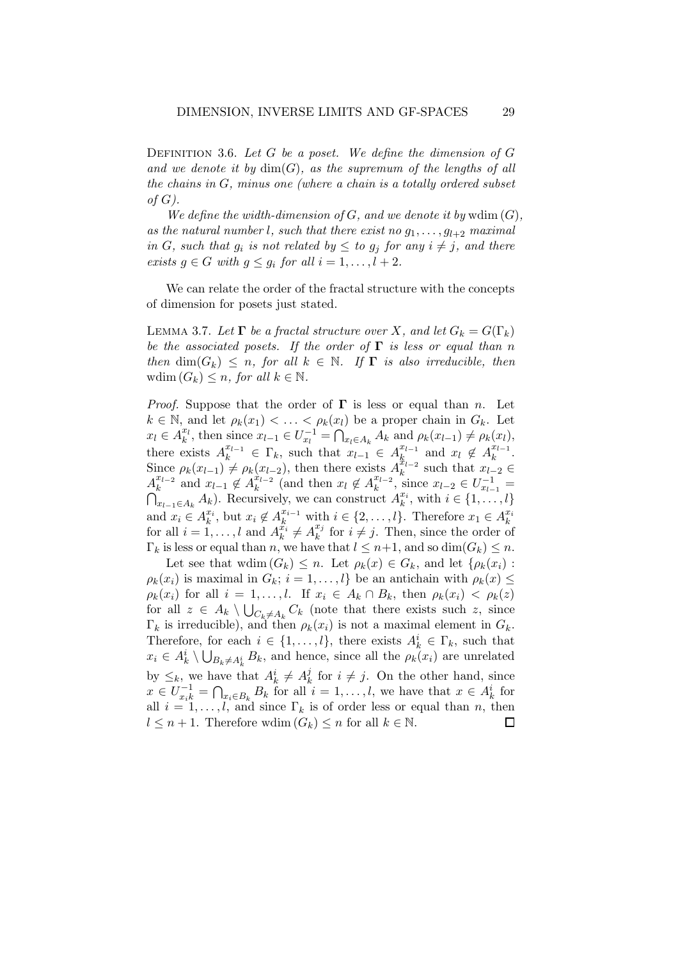DEFINITION 3.6. Let G be a poset. We define the dimension of  $G$ and we denote it by  $\dim(G)$ , as the supremum of the lengths of all the chains in  $G$ , minus one (where a chain is a totally ordered subset of  $G$ ).

We define the width-dimension of  $G$ , and we denote it by wdim  $(G)$ , as the natural number l, such that there exist no  $g_1, \ldots, g_{l+2}$  maximal in G, such that  $g_i$  is not related by  $\leq$  to  $g_j$  for any  $i \neq j$ , and there exists  $g \in G$  with  $g \leq g_i$  for all  $i = 1, \ldots, l + 2$ .

We can relate the order of the fractal structure with the concepts of dimension for posets just stated.

LEMMA 3.7. Let  $\Gamma$  be a fractal structure over X, and let  $G_k = G(\Gamma_k)$ be the associated posets. If the order of  $\Gamma$  is less or equal than n then  $\dim(G_k) \leq n$ , for all  $k \in \mathbb{N}$ . If  $\Gamma$  is also irreducible, then wdim  $(G_k) \leq n$ , for all  $k \in \mathbb{N}$ .

*Proof.* Suppose that the order of  $\Gamma$  is less or equal than n. Let  $k \in \mathbb{N}$ , and let  $\rho_k(x_1) < \ldots < \rho_k(x_l)$  be a proper chain in  $G_k$ . Let  $x_l \in A_k^{x_l}$ , then since  $x_{l-1} \in U_{x_l}^{-1} = \bigcap_{x_l \in A_k} A_k$  and  $\rho_k(x_{l-1}) \neq \rho_k(x_l)$ , there exists  $A_k^{x_{l-1}} \in \Gamma_k$ , such that  $x_{l-1} \in A_k^{x_{l-1}}$  $x_{l-1}$  and  $x_l \notin A_k^{x_{l-1}}$  $\frac{x_{l-1}}{k}$ . Since  $\rho_k(x_{l-1}) \neq \rho_k(x_{l-2})$ , then there exists  $A_k^{\hat{x}_{l-2}}$  $x_{l-2}$  such that  $x_{l-2} \in$  $A_k^{x_{l-2}}$  $x_{l-2}$  and  $x_{l-1} \notin A_k^{\hat{x}_{l-2}}$  $\hat{x}_{l-2}$  (and then  $x_l \notin A_k^{x_{l-2}}$  $A_k^{x_{l-2}}$  and  $x_{l-1} \notin A_k^{x_{l-2}}$  (and then  $x_l \notin A_k^{x_{l-2}}$ , since  $x_{l-2} \in U_{x_{l-1}}^{-1} = \bigcap_{x_{l-1} \in A_k} A_k$ ). Recursively, we can construct  $A_k^{x_i}$ , with  $i \in \{1, \ldots, l\}$  $x_{l-1} \in A_k$   $A_k$ ). Recursively, we can construct  $A_k^{x_i}$ , with  $i \in \{1, ..., l\}$ and  $x_i \in A_k^{x_i}$ , but  $x_i \notin A_k^{x_{i-1}}$  with  $i \in \{2, ..., l\}$ . Therefore  $x_1 \in A_k^{x_i}$ <br>for all  $i = 1, ..., l$  and  $A_k^{x_i} \neq A_k^{x_j}$  for  $i \neq j$ . Then, since the order of  $\frac{x_j}{k}$  for  $i \neq j$ . Then, since the order of  $\Gamma_k$  is less or equal than n, we have that  $l \leq n+1$ , and so  $\dim(G_k) \leq n$ .

Let see that wdim  $(G_k) \leq n$ . Let  $\rho_k(x) \in G_k$ , and let  $\{\rho_k(x_i)$ :  $\rho_k(x_i)$  is maximal in  $G_k$ ;  $i = 1, \ldots, l$  be an antichain with  $\rho_k(x) \leq$  $\rho_k(x_i)$  for all  $i = 1, \ldots, l$ . If  $x_i \in A_k \cap B_k$ , then  $\rho_k(x_i) < \rho_k(z)$ for all  $z \in A_k \setminus \bigcup_{C_k \neq A_k} C_k$  (note that there exists such z, since  $\Gamma_k$  is irreducible), and then  $\rho_k(x_i)$  is not a maximal element in  $G_k$ . Therefore, for each  $i \in \{1, ..., l\}$ , there exists  $A_k^i \in \Gamma_k$ , such that  $x_i \in A_k^i \setminus \bigcup_{B_k \neq A_k^i} B_k$ , and hence, since all the  $\rho_k(x_i)$  are unrelated by  $\leq_k$ , we have that  $A_k^i \neq A_k^j$  $\frac{j}{k}$  for  $i \neq j$ . On the other hand, since  $x \in U_{x_k}^{-1} = \bigcap_{x_i \in B_k} B_k$  for all  $i = 1, \ldots, l$ , we have that  $x \in A_k^i$  for all  $i = 1, \ldots, l$ , and since  $\Gamma_k$  is of order less or equal than n, then  $l \leq n+1$ . Therefore wdim  $(G_k) \leq n$  for all  $k \in \mathbb{N}$ .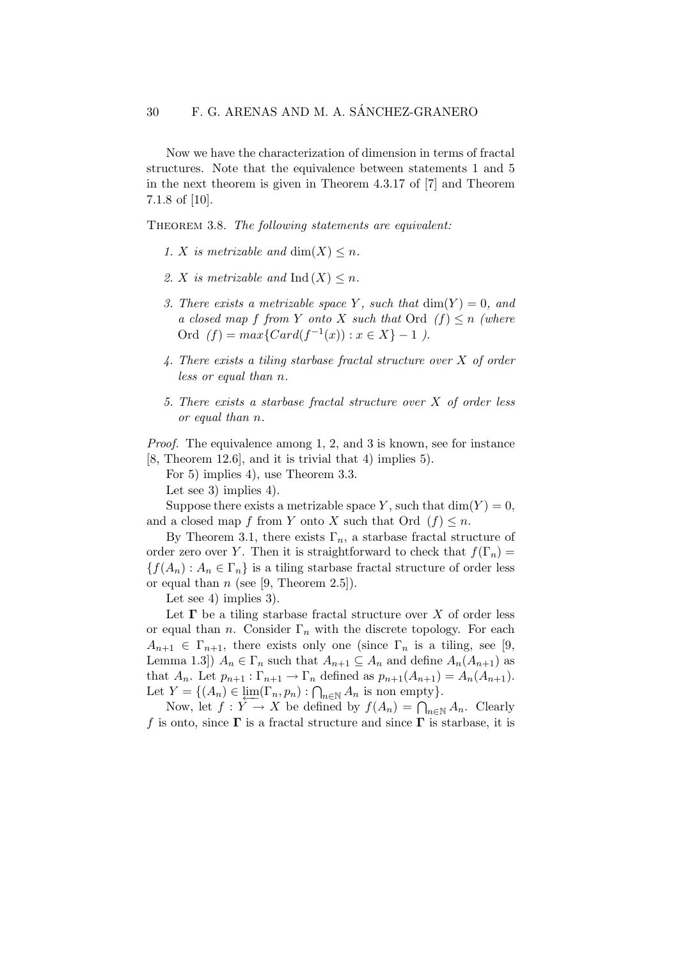Now we have the characterization of dimension in terms of fractal structures. Note that the equivalence between statements 1 and 5 in the next theorem is given in Theorem 4.3.17 of [7] and Theorem 7.1.8 of [10].

THEOREM 3.8. The following statements are equivalent:

- 1. X is metrizable and  $dim(X) \leq n$ .
- 2. X is metrizable and Ind  $(X) \leq n$ .
- 3. There exists a metrizable space Y, such that  $\dim(Y) = 0$ , and a closed map f from Y onto X such that  $\text{Ord } (f) \leq n$  (where Ord  $(f) = max\{Card(f^{-1}(x)) : x \in X\} - 1$ .
- 4. There exists a tiling starbase fractal structure over X of order less or equal than n.
- 5. There exists a starbase fractal structure over X of order less or equal than n.

Proof. The equivalence among 1, 2, and 3 is known, see for instance [8, Theorem 12.6], and it is trivial that 4) implies 5).

For 5) implies 4), use Theorem 3.3.

Let see 3) implies 4).

Suppose there exists a metrizable space Y, such that  $\dim(Y) = 0$ , and a closed map f from Y onto X such that Ord  $(f) \leq n$ .

By Theorem 3.1, there exists  $\Gamma_n$ , a starbase fractal structure of order zero over Y. Then it is straightforward to check that  $f(\Gamma_n) =$  ${f(A_n) : A_n \in \Gamma_n}$  is a tiling starbase fractal structure of order less or equal than  $n$  (see [9, Theorem 2.5]).

Let see 4) implies 3).

Let  $\Gamma$  be a tiling starbase fractal structure over X of order less or equal than n. Consider  $\Gamma_n$  with the discrete topology. For each  $A_{n+1} \in \Gamma_{n+1}$ , there exists only one (since  $\Gamma_n$  is a tiling, see [9, Lemma 1.3])  $A_n \in \Gamma_n$  such that  $A_{n+1} \subseteq A_n$  and define  $A_n(A_{n+1})$  as that  $A_n$ . Let  $p_{n+1} : \Gamma_{n+1} \to \Gamma_n$  defined as  $p_{n+1}(A_{n+1}) = A_n(A_{n+1})$ . Let  $Y = \{(A_n) \in \lim_{\epsilon \to 0} (\Gamma_n, p_n) : \bigcap_{n \in \mathbb{N}} A_n \text{ is non empty}\}.$ 

Now, let  $f: Y \to X$  be defined by  $f(A_n) = \bigcap_{n \in \mathbb{N}} A_n$ . Clearly f is onto, since  $\Gamma$  is a fractal structure and since  $\Gamma$  is starbase, it is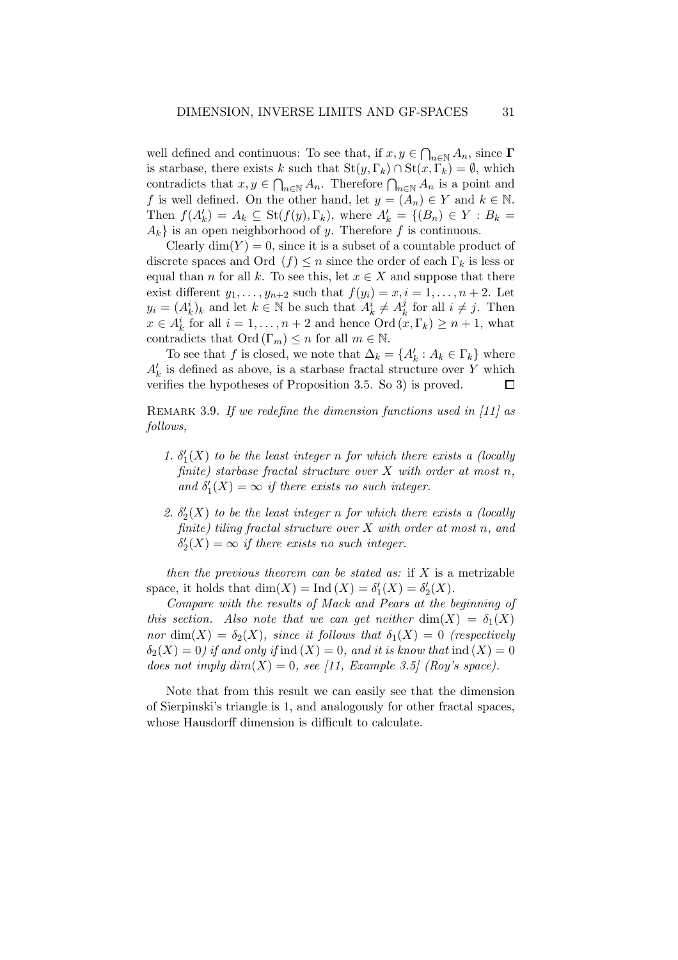well defined and continuous: To see that, if  $x, y \in \bigcap_{n \in \mathbb{N}} A_n$ , since  $\Gamma$ is starbase, there exists k such that  $St(y, \Gamma_k) \cap St(x, \Gamma_k) = \emptyset$ , which contradicts that  $x, y \in \bigcap_{n \in \mathbb{N}} A_n$ . Therefore  $\bigcap_{n \in \mathbb{N}} A_n$  is a point and f is well defined. On the other hand, let  $y = (A_n) \in Y$  and  $k \in \mathbb{N}$ . Then  $f(A'_k) = A_k \subseteq \text{St}(f(y), \Gamma_k)$ , where  $A'_k = \{(B_n) \in Y : B_k =$  $A_k$  is an open neighborhood of y. Therefore f is continuous.

Clearly  $\dim(Y) = 0$ , since it is a subset of a countable product of discrete spaces and Ord  $(f) \leq n$  since the order of each  $\Gamma_k$  is less or equal than n for all k. To see this, let  $x \in X$  and suppose that there exist different  $y_1, \ldots, y_{n+2}$  such that  $f(y_i) = x, i = 1, \ldots, n+2$ . Let  $y_i = (A_k^i)_k$  and let  $k \in \mathbb{N}$  be such that  $A_k^i \neq A_k^j$  $\frac{j}{k}$  for all  $i \neq j$ . Then  $x \in A_k^i$  for all  $i = 1, ..., n + 2$  and hence  $\text{Ord}\left(\overline{x}, \Gamma_k\right) \geq n + 1$ , what contradicts that  $\text{Ord}(\Gamma_m) \leq n$  for all  $m \in \mathbb{N}$ .

To see that f is closed, we note that  $\Delta_k = \{A'_k : A_k \in \Gamma_k\}$  where  $A'_k$  is defined as above, is a starbase fractal structure over  $Y$  which verifies the hypotheses of Proposition 3.5. So 3) is proved. □

REMARK 3.9. If we redefine the dimension functions used in  $[11]$  as follows,

- 1.  $\delta'_1(X)$  to be the least integer n for which there exists a (locally finite) starbase fractal structure over  $X$  with order at most n, and  $\delta_1'(X) = \infty$  if there exists no such integer.
- 2.  $\delta'_2(X)$  to be the least integer n for which there exists a (locally finite) tiling fractal structure over  $X$  with order at most n, and  $\delta_2'(X) = \infty$  if there exists no such integer.

then the previous theorem can be stated as: if  $X$  is a metrizable space, it holds that  $\dim(X) = \text{Ind}(X) = \delta'_1(X) = \delta'_2(X)$ .

Compare with the results of Mack and Pears at the beginning of this section. Also note that we can get neither  $dim(X) = \delta_1(X)$ nor dim $(X) = \delta_2(X)$ , since it follows that  $\delta_1(X) = 0$  (respectively  $\delta_2(X) = 0$ ) if and only if ind  $(X) = 0$ , and it is know that ind  $(X) = 0$ does not imply  $dim(X) = 0$ , see [11, Example 3.5] (Roy's space).

Note that from this result we can easily see that the dimension of Sierpinski's triangle is 1, and analogously for other fractal spaces, whose Hausdorff dimension is difficult to calculate.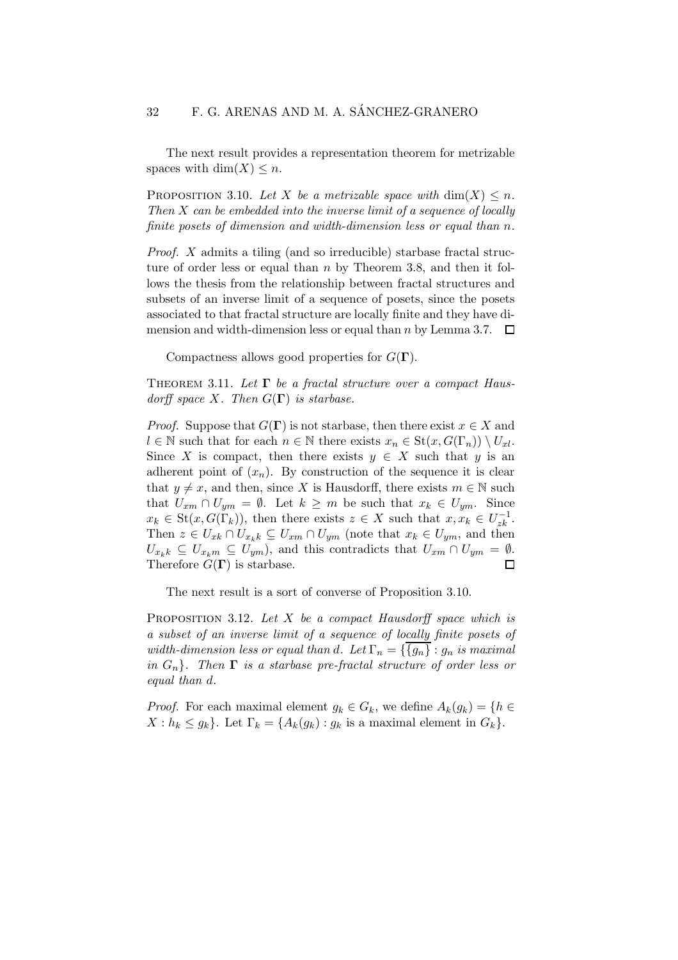The next result provides a representation theorem for metrizable spaces with dim $(X) \leq n$ .

PROPOSITION 3.10. Let X be a metrizable space with  $\dim(X) \leq n$ . Then X can be embedded into the inverse limit of a sequence of locally finite posets of dimension and width-dimension less or equal than n.

Proof. X admits a tiling (and so irreducible) starbase fractal structure of order less or equal than  $n$  by Theorem 3.8, and then it follows the thesis from the relationship between fractal structures and subsets of an inverse limit of a sequence of posets, since the posets associated to that fractal structure are locally finite and they have dimension and width-dimension less or equal than n by Lemma 3.7.  $\Box$ 

Compactness allows good properties for  $G(\Gamma)$ .

THEOREM 3.11. Let  $\Gamma$  be a fractal structure over a compact Hausdorff space X. Then  $G(\Gamma)$  is starbase.

*Proof.* Suppose that  $G(\Gamma)$  is not starbase, then there exist  $x \in X$  and  $l \in \mathbb{N}$  such that for each  $n \in \mathbb{N}$  there exists  $x_n \in \mathrm{St}(x, G(\Gamma_n)) \setminus U_{xl}$ . Since X is compact, then there exists  $y \in X$  such that y is an adherent point of  $(x_n)$ . By construction of the sequence it is clear that  $y \neq x$ , and then, since X is Hausdorff, there exists  $m \in \mathbb{N}$  such that  $U_{xm} \cap U_{ym} = \emptyset$ . Let  $k \geq m$  be such that  $x_k \in U_{ym}$ . Since  $x_k \in \text{St}(x, G(\Gamma_k))$ , then there exists  $z \in X$  such that  $x, x_k \in U_{zk}^{-1}$ . Then  $z \in U_{x_k} \cap U_{x_k} \subseteq U_{x_m} \cap U_{ym}$  (note that  $x_k \in U_{ym}$ , and then  $U_{x_kk} \subseteq U_{x_km} \subseteq U_{ym}$ , and this contradicts that  $U_{xm} \cap U_{ym} = \emptyset$ . Therefore  $G(\Gamma)$  is starbase. П

The next result is a sort of converse of Proposition 3.10.

PROPOSITION 3.12. Let  $X$  be a compact Hausdorff space which is a subset of an inverse limit of a sequence of locally finite posets of width-dimension less or equal than d. Let  $\Gamma_n = \{ \{g_n\} : g_n$  is maximal in  $G_n$ . Then  $\Gamma$  is a starbase pre-fractal structure of order less or equal than d.

*Proof.* For each maximal element  $g_k \in G_k$ , we define  $A_k(g_k) = \{h \in$  $X : h_k \leq g_k$ . Let  $\Gamma_k = \{A_k(g_k) : g_k \text{ is a maximal element in } G_k\}.$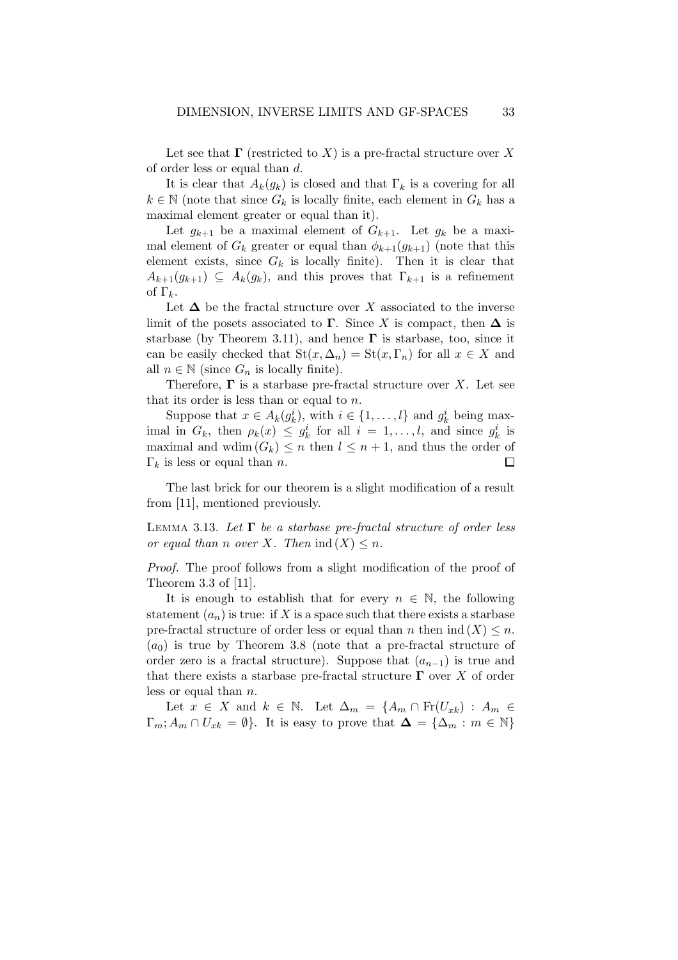Let see that  $\Gamma$  (restricted to X) is a pre-fractal structure over X of order less or equal than d.

It is clear that  $A_k(g_k)$  is closed and that  $\Gamma_k$  is a covering for all  $k \in \mathbb{N}$  (note that since  $G_k$  is locally finite, each element in  $G_k$  has a maximal element greater or equal than it).

Let  $g_{k+1}$  be a maximal element of  $G_{k+1}$ . Let  $g_k$  be a maximal element of  $G_k$  greater or equal than  $\phi_{k+1}(g_{k+1})$  (note that this element exists, since  $G_k$  is locally finite). Then it is clear that  $A_{k+1}(g_{k+1}) \subseteq A_k(g_k)$ , and this proves that  $\Gamma_{k+1}$  is a refinement of  $\Gamma_k$ .

Let  $\Delta$  be the fractal structure over X associated to the inverse limit of the posets associated to  $\Gamma$ . Since X is compact, then  $\Delta$  is starbase (by Theorem 3.11), and hence  $\Gamma$  is starbase, too, since it can be easily checked that  $St(x, \Delta_n) = St(x, \Gamma_n)$  for all  $x \in X$  and all  $n \in \mathbb{N}$  (since  $G_n$  is locally finite).

Therefore,  $\Gamma$  is a starbase pre-fractal structure over X. Let see that its order is less than or equal to  $n$ .

Suppose that  $x \in A_k(g_k^i)$ , with  $i \in \{1, ..., l\}$  and  $g_k^i$  being maximal in  $G_k$ , then  $\rho_k(x) \leq g_k^i$  for all  $i = 1, ..., l$ , and since  $g_k^i$  is maximal and wdim  $(G_k) \leq n$  then  $l \leq n+1$ , and thus the order of  $\Box$  $\Gamma_k$  is less or equal than *n*.

The last brick for our theorem is a slight modification of a result from [11], mentioned previously.

LEMMA 3.13. Let  $\Gamma$  be a starbase pre-fractal structure of order less or equal than n over X. Then  $\text{ind}(X) \leq n$ .

Proof. The proof follows from a slight modification of the proof of Theorem 3.3 of [11].

It is enough to establish that for every  $n \in \mathbb{N}$ , the following statement  $(a_n)$  is true: if X is a space such that there exists a starbase pre-fractal structure of order less or equal than n then  $ind(X) \leq n$ .  $(a_0)$  is true by Theorem 3.8 (note that a pre-fractal structure of order zero is a fractal structure). Suppose that  $(a_{n-1})$  is true and that there exists a starbase pre-fractal structure  $\Gamma$  over X of order less or equal than n.

Let  $x \in X$  and  $k \in \mathbb{N}$ . Let  $\Delta_m = \{A_m \cap Fr(U_{xk}) : A_m \in$  $\Gamma_m$ ;  $A_m \cap U_{xk} = \emptyset$ . It is easy to prove that  $\Delta = {\Delta_m : m \in \mathbb{N}}$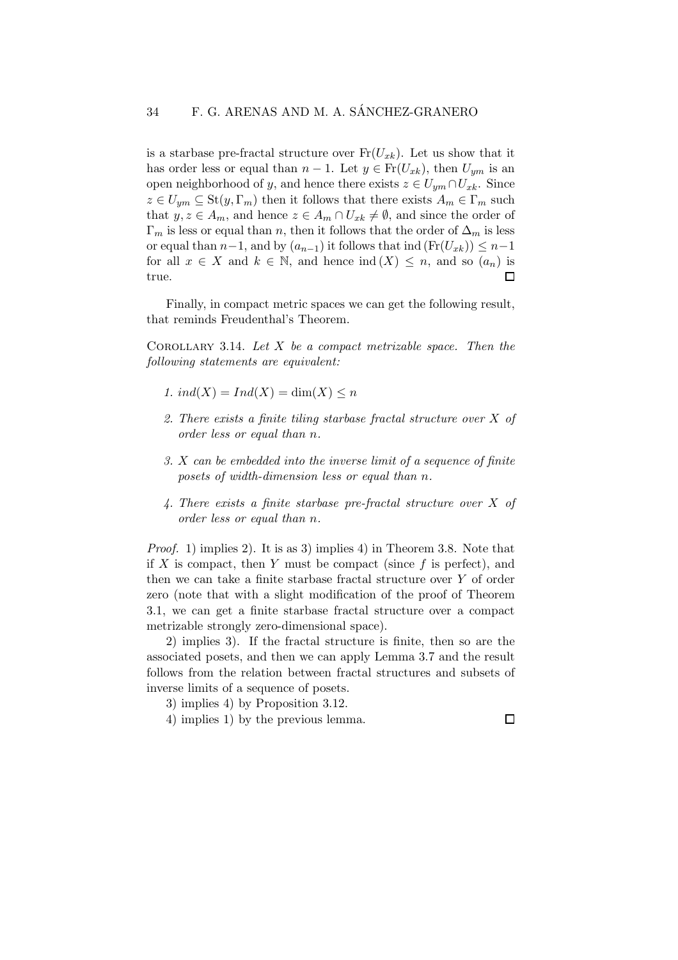is a starbase pre-fractal structure over  $Fr(U_{xk})$ . Let us show that it has order less or equal than  $n-1$ . Let  $y \in Fr(U_{rk})$ , then  $U_{um}$  is an open neighborhood of y, and hence there exists  $z \in U_{vm} \cap U_{xk}$ . Since  $z \in U_{um} \subseteq St(y, \Gamma_m)$  then it follows that there exists  $A_m \in \Gamma_m$  such that  $y, z \in A_m$ , and hence  $z \in A_m \cap U_{x_k} \neq \emptyset$ , and since the order of  $\Gamma_m$  is less or equal than n, then it follows that the order of  $\Delta_m$  is less or equal than  $n-1$ , and by  $(a_{n-1})$  it follows that ind  $(\text{Fr}(U_{xk})) \leq n-1$ for all  $x \in X$  and  $k \in \mathbb{N}$ , and hence  $\text{ind}(X) \leq n$ , and so  $(a_n)$  is true.  $\Box$ 

Finally, in compact metric spaces we can get the following result, that reminds Freudenthal's Theorem.

COROLLARY 3.14. Let  $X$  be a compact metrizable space. Then the following statements are equivalent:

- 1. ind(X) =  $Ind(X) = dim(X) \leq n$
- 2. There exists a finite tiling starbase fractal structure over X of order less or equal than n.
- 3. X can be embedded into the inverse limit of a sequence of finite posets of width-dimension less or equal than n.
- 4. There exists a finite starbase pre-fractal structure over X of order less or equal than n.

Proof. 1) implies 2). It is as 3) implies 4) in Theorem 3.8. Note that if X is compact, then Y must be compact (since  $f$  is perfect), and then we can take a finite starbase fractal structure over Y of order zero (note that with a slight modification of the proof of Theorem 3.1, we can get a finite starbase fractal structure over a compact metrizable strongly zero-dimensional space).

2) implies 3). If the fractal structure is finite, then so are the associated posets, and then we can apply Lemma 3.7 and the result follows from the relation between fractal structures and subsets of inverse limits of a sequence of posets.

3) implies 4) by Proposition 3.12.

4) implies 1) by the previous lemma.

 $\Box$